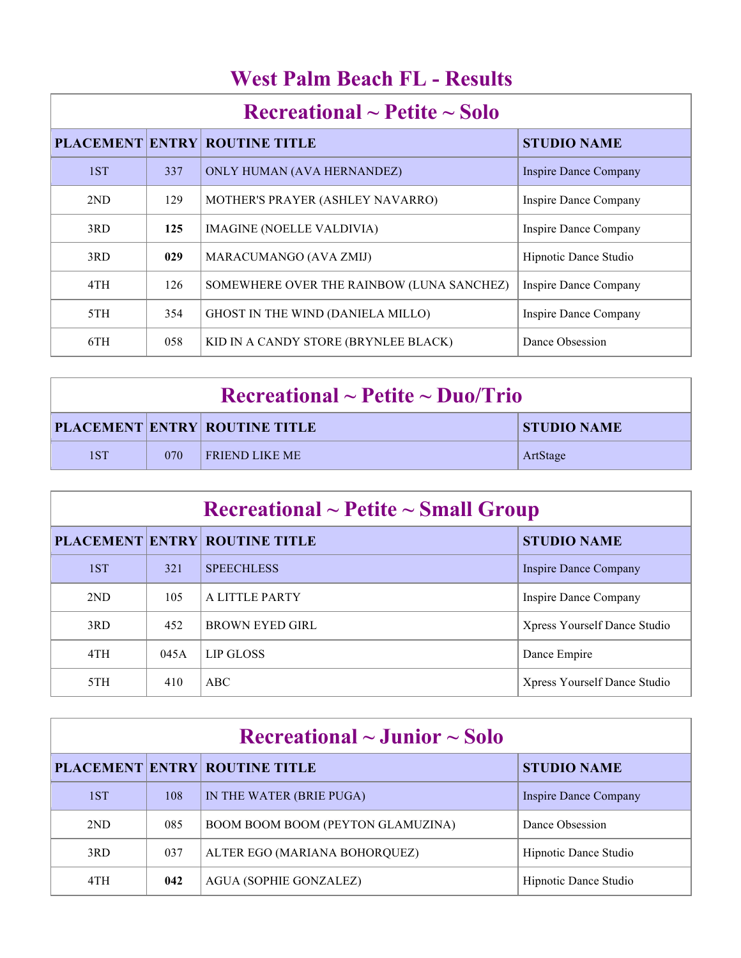| <u> 11 CSU I ANNI DUAUN I D'AWSUNS</u>   |     |                                           |                              |  |
|------------------------------------------|-----|-------------------------------------------|------------------------------|--|
| $\rm Recreational \sim Petite \sim Solo$ |     |                                           |                              |  |
|                                          |     | <b>PLACEMENT ENTRY ROUTINE TITLE</b>      | <b>STUDIO NAME</b>           |  |
| 1ST                                      | 337 | ONLY HUMAN (AVA HERNANDEZ)                | <b>Inspire Dance Company</b> |  |
| 2ND                                      | 129 | MOTHER'S PRAYER (ASHLEY NAVARRO)          | Inspire Dance Company        |  |
| 3RD                                      | 125 | <b>IMAGINE (NOELLE VALDIVIA)</b>          | <b>Inspire Dance Company</b> |  |
| 3RD                                      | 029 | MARACUMANGO (AVA ZMIJ)                    | Hipnotic Dance Studio        |  |
| 4TH                                      | 126 | SOMEWHERE OVER THE RAINBOW (LUNA SANCHEZ) | Inspire Dance Company        |  |
| 5TH                                      | 354 | GHOST IN THE WIND (DANIELA MILLO)         | <b>Inspire Dance Company</b> |  |
| 6TH                                      | 058 | KID IN A CANDY STORE (BRYNLEE BLACK)      | Dance Obsession              |  |

## **West Palm Beach FL - Results**

| $\rm Recreational \sim Petite \sim Duo/Trio$ |     |                                      |                    |  |
|----------------------------------------------|-----|--------------------------------------|--------------------|--|
|                                              |     | <b>PLACEMENT ENTRY ROUTINE TITLE</b> | <b>STUDIO NAME</b> |  |
| 1ST                                          | 070 | <b>FRIEND LIKE ME</b>                | ArtStage           |  |

| Recreational $\sim$ Petite $\sim$ Small Group |      |                                      |                              |  |
|-----------------------------------------------|------|--------------------------------------|------------------------------|--|
|                                               |      | <b>PLACEMENT ENTRY ROUTINE TITLE</b> | <b>STUDIO NAME</b>           |  |
| 1ST                                           | 321  | <b>SPEECHLESS</b>                    | Inspire Dance Company        |  |
| 2ND                                           | 105  | A LITTLE PARTY                       | Inspire Dance Company        |  |
| 3RD                                           | 452  | <b>BROWN EYED GIRL</b>               | Xpress Yourself Dance Studio |  |
| 4TH                                           | 045A | LIP GLOSS                            | Dance Empire                 |  |
| 5TH                                           | 410  | ABC                                  | Xpress Yourself Dance Studio |  |

| Recreational $\sim$ Junior $\sim$ Solo |     |                                      |                       |  |
|----------------------------------------|-----|--------------------------------------|-----------------------|--|
|                                        |     | <b>PLACEMENT ENTRY ROUTINE TITLE</b> | <b>STUDIO NAME</b>    |  |
| 1ST                                    | 108 | IN THE WATER (BRIE PUGA)             | Inspire Dance Company |  |
| 2ND                                    | 085 | BOOM BOOM BOOM (PEYTON GLAMUZINA)    | Dance Obsession       |  |
| 3RD                                    | 037 | ALTER EGO (MARIANA BOHORQUEZ)        | Hipnotic Dance Studio |  |
| 4TH                                    | 042 | AGUA (SOPHIE GONZALEZ)               | Hipnotic Dance Studio |  |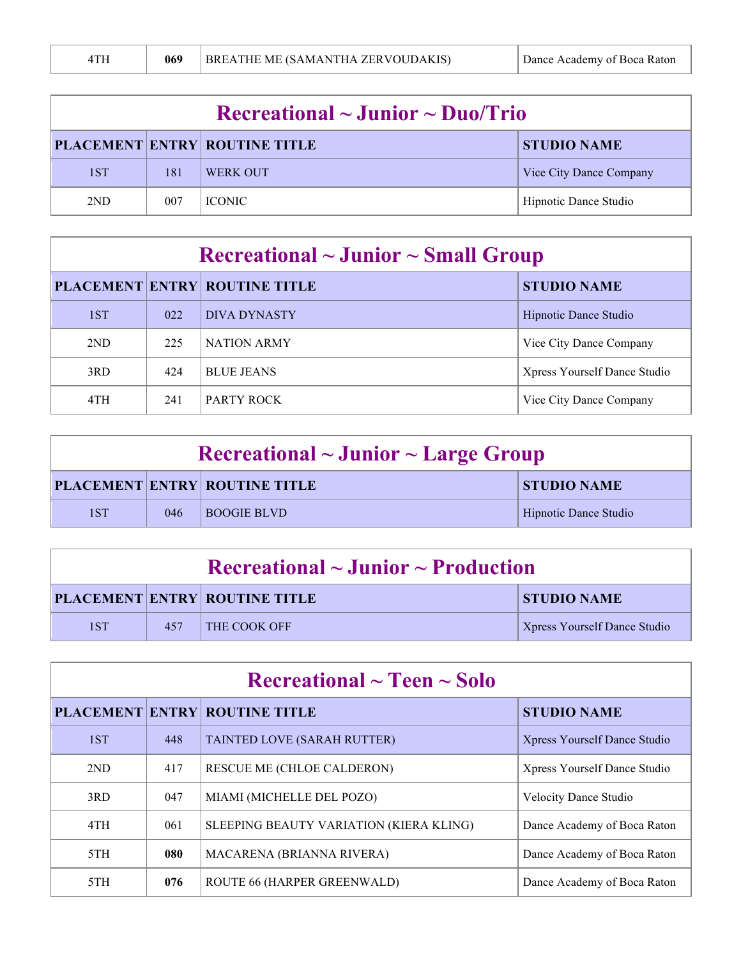| 4TH | 069 | BREATHE ME (SAMANTHA ZERVOUDAKIS) | Dance Academy of Boca Raton |
|-----|-----|-----------------------------------|-----------------------------|
|     |     |                                   |                             |

| $\rm Recreational \sim Junior \sim Duo/Trio$               |     |                 |                         |  |
|------------------------------------------------------------|-----|-----------------|-------------------------|--|
| <b>PLACEMENT ENTRY ROUTINE TITLE</b><br><b>STUDIO NAME</b> |     |                 |                         |  |
| 1ST                                                        | 181 | <b>WERK OUT</b> | Vice City Dance Company |  |
| 2 <sub>ND</sub>                                            | 007 | <b>ICONIC</b>   | Hipnotic Dance Studio   |  |

| $\rm Recreational \sim Junior \sim Small\,\, Group$ |     |                                      |                              |  |
|-----------------------------------------------------|-----|--------------------------------------|------------------------------|--|
|                                                     |     | <b>PLACEMENT ENTRY ROUTINE TITLE</b> | <b>STUDIO NAME</b>           |  |
| 1ST                                                 | 022 | <b>DIVA DYNASTY</b>                  | Hipnotic Dance Studio        |  |
| 2 <sub>ND</sub>                                     | 225 | <b>NATION ARMY</b>                   | Vice City Dance Company      |  |
| 3RD                                                 | 424 | <b>BLUE JEANS</b>                    | Xpress Yourself Dance Studio |  |
| 4TH                                                 | 241 | PARTY ROCK                           | Vice City Dance Company      |  |

| Recreational $\sim$ Junior $\sim$ Large Group |     |                               |                       |  |  |
|-----------------------------------------------|-----|-------------------------------|-----------------------|--|--|
|                                               |     | PLACEMENT ENTRY ROUTINE TITLE | <b>STUDIO NAME</b>    |  |  |
| 1ST                                           | 046 | <b>BOOGIE BLVD</b>            | Hipnotic Dance Studio |  |  |

| $\Gamma$ Recreational ~ Junior ~ Production |     |                                      |                                     |  |
|---------------------------------------------|-----|--------------------------------------|-------------------------------------|--|
|                                             |     | <b>PLACEMENT ENTRY ROUTINE TITLE</b> | <b>STUDIO NAME</b>                  |  |
| 1ST                                         | 457 | <b>THE COOK OFF</b>                  | <b>Xpress Yourself Dance Studio</b> |  |

| $\rm Recreational \sim Teen \sim Solo$ |     |                                         |                                     |  |
|----------------------------------------|-----|-----------------------------------------|-------------------------------------|--|
|                                        |     | <b>PLACEMENT ENTRY ROUTINE TITLE</b>    | <b>STUDIO NAME</b>                  |  |
| 1ST                                    | 448 | TAINTED LOVE (SARAH RUTTER)             | <b>Xpress Yourself Dance Studio</b> |  |
| 2ND                                    | 417 | RESCUE ME (CHLOE CALDERON)              | Xpress Yourself Dance Studio        |  |
| 3RD                                    | 047 | MIAMI (MICHELLE DEL POZO)               | <b>Velocity Dance Studio</b>        |  |
| 4TH                                    | 061 | SLEEPING BEAUTY VARIATION (KIERA KLING) | Dance Academy of Boca Raton         |  |
| 5TH                                    | 080 | MACARENA (BRIANNA RIVERA)               | Dance Academy of Boca Raton         |  |
| 5TH                                    | 076 | <b>ROUTE 66 (HARPER GREENWALD)</b>      | Dance Academy of Boca Raton         |  |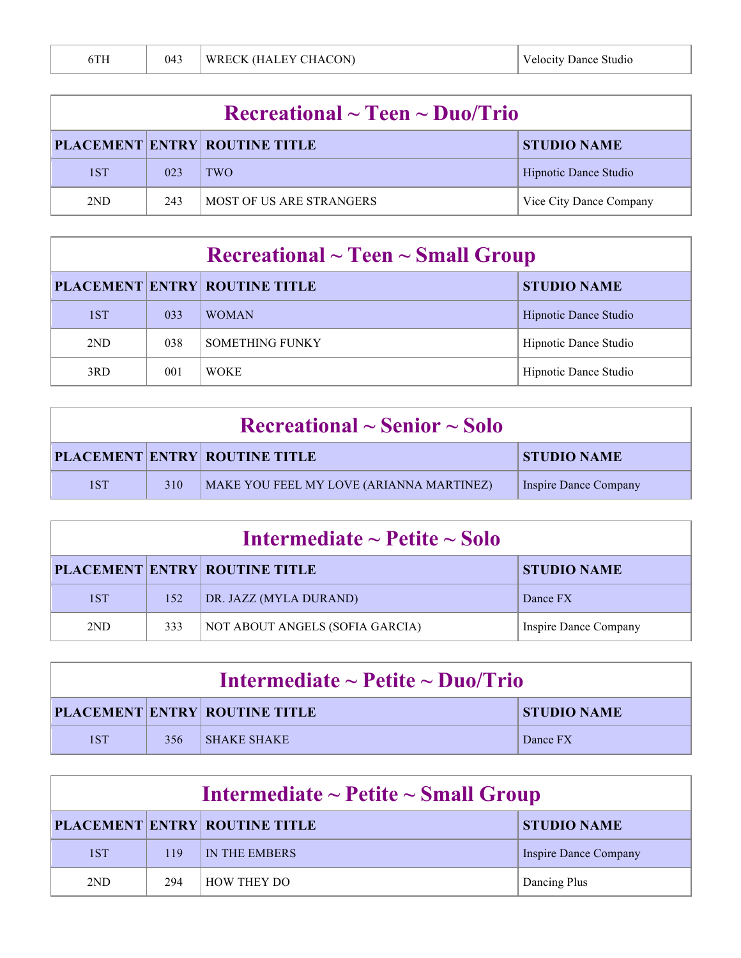| $\rm Recreational \sim Teen \sim Duo/Trio$ |     |                                      |                         |  |
|--------------------------------------------|-----|--------------------------------------|-------------------------|--|
|                                            |     | <b>PLACEMENT ENTRY ROUTINE TITLE</b> | <b>STUDIO NAME</b>      |  |
| 1ST                                        | 023 | TWO <sub>!</sub>                     | Hipnotic Dance Studio   |  |
| 2ND                                        | 243 | MOST OF US ARE STRANGERS             | Vice City Dance Company |  |

| $\rm Recreational \sim Teen \sim Small\,\, Group$ |     |                                      |                       |
|---------------------------------------------------|-----|--------------------------------------|-----------------------|
|                                                   |     | <b>PLACEMENT ENTRY ROUTINE TITLE</b> | <b>STUDIO NAME</b>    |
| 1ST                                               | 033 | <b>WOMAN</b>                         | Hipnotic Dance Studio |
| 2ND                                               | 038 | <b>SOMETHING FUNKY</b>               | Hipnotic Dance Studio |
| 3RD                                               | 001 | <b>WOKE</b>                          | Hipnotic Dance Studio |

| $\rm Recreational \sim Senior \sim Solo$ |     |                                          |                       |
|------------------------------------------|-----|------------------------------------------|-----------------------|
|                                          |     | <b>PLACEMENT ENTRY ROUTINE TITLE</b>     | <b>STUDIO NAME</b>    |
| 1ST                                      | 310 | MAKE YOU FEEL MY LOVE (ARIANNA MARTINEZ) | Inspire Dance Company |

| Intermediate $\sim$ Petite $\sim$ Solo |     |                                      |                       |  |
|----------------------------------------|-----|--------------------------------------|-----------------------|--|
|                                        |     | <b>PLACEMENT ENTRY ROUTINE TITLE</b> | <b>STUDIO NAME</b>    |  |
| 1ST                                    | 152 | DR. JAZZ (MYLA DURAND)               | Dance FX              |  |
| 2ND                                    | 333 | NOT ABOUT ANGELS (SOFIA GARCIA)      | Inspire Dance Company |  |

| Intermediate $\sim$ Petite $\sim$ Duo/Trio |     |                                      |                    |
|--------------------------------------------|-----|--------------------------------------|--------------------|
|                                            |     | <b>PLACEMENT ENTRY ROUTINE TITLE</b> | <b>STUDIO NAME</b> |
| 1ST                                        | 356 | <b>SHAKE SHAKE</b>                   | Dance FX           |

| Intermediate $\sim$ Petite $\sim$ Small Group |     |                                      |                       |
|-----------------------------------------------|-----|--------------------------------------|-----------------------|
|                                               |     | <b>PLACEMENT ENTRY ROUTINE TITLE</b> | <b>STUDIO NAME</b>    |
| 1ST                                           | 119 | IN THE EMBERS                        | Inspire Dance Company |
| 2 <sub>ND</sub>                               | 294 | HOW THEY DO                          | Dancing Plus          |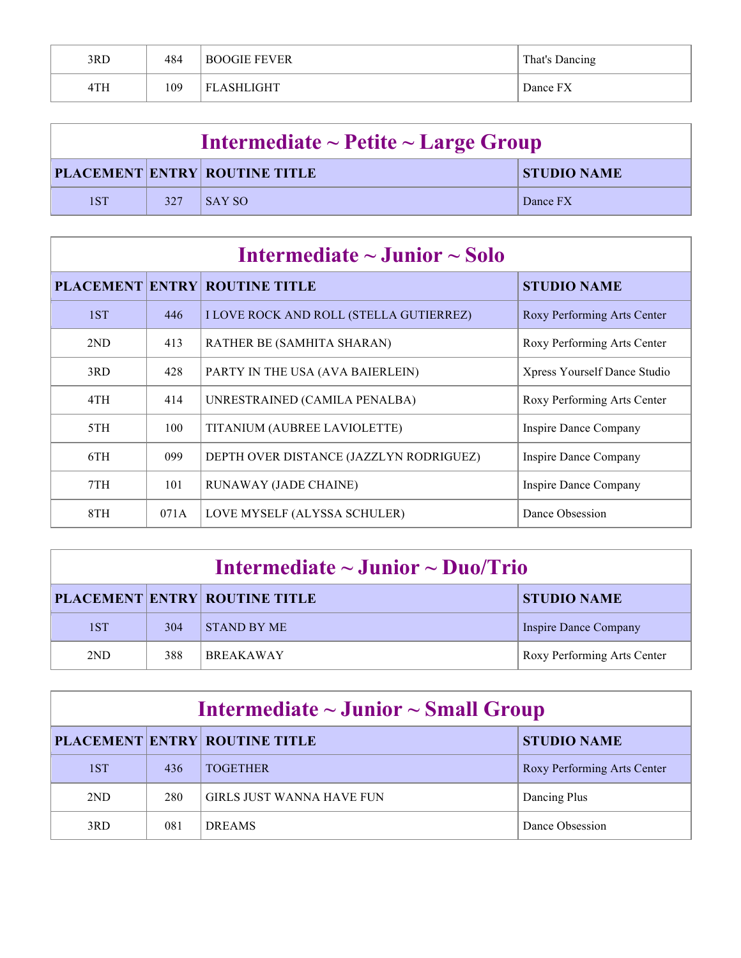| 3RD | 484 | <b>BOOGIE FEVER</b> | That's Dancing |
|-----|-----|---------------------|----------------|
| 4TH | 109 | <b>FLASHLIGHT</b>   | Dance FX       |

| Intermediate $\sim$ Petite $\sim$ Large Group |     |                                      |                    |
|-----------------------------------------------|-----|--------------------------------------|--------------------|
|                                               |     | <b>PLACEMENT ENTRY ROUTINE TITLE</b> | <b>STUDIO NAME</b> |
| 1ST                                           | 327 | <b>SAY SO</b>                        | Dance FX           |

| Intermediate $\sim$ Junior $\sim$ Solo |      |                                                |                              |
|----------------------------------------|------|------------------------------------------------|------------------------------|
|                                        |      | <b>PLACEMENT ENTRY ROUTINE TITLE</b>           | <b>STUDIO NAME</b>           |
| 1ST                                    | 446  | <b>I LOVE ROCK AND ROLL (STELLA GUTIERREZ)</b> | Roxy Performing Arts Center  |
| 2ND                                    | 413  | RATHER BE (SAMHITA SHARAN)                     | Roxy Performing Arts Center  |
| 3RD                                    | 428  | PARTY IN THE USA (AVA BAIERLEIN)               | Xpress Yourself Dance Studio |
| 4TH                                    | 414  | UNRESTRAINED (CAMILA PENALBA)                  | Roxy Performing Arts Center  |
| 5TH                                    | 100  | TITANIUM (AUBREE LAVIOLETTE)                   | Inspire Dance Company        |
| 6TH                                    | 099  | DEPTH OVER DISTANCE (JAZZLYN RODRIGUEZ)        | Inspire Dance Company        |
| 7TH                                    | 101  | <b>RUNAWAY (JADE CHAINE)</b>                   | <b>Inspire Dance Company</b> |
| 8TH                                    | 071A | LOVE MYSELF (ALYSSA SCHULER)                   | Dance Obsession              |

| Intermediate $\sim$ Junior $\sim$ Duo/Trio |     |                                      |                             |
|--------------------------------------------|-----|--------------------------------------|-----------------------------|
|                                            |     | <b>PLACEMENT ENTRY ROUTINE TITLE</b> | <b>STUDIO NAME</b>          |
| 1ST                                        | 304 | <b>STAND BY ME</b>                   | Inspire Dance Company       |
| 2ND                                        | 388 | <b>BREAKAWAY</b>                     | Roxy Performing Arts Center |

| Intermediate $\sim$ Junior $\sim$ Small Group |     |                                      |                             |  |
|-----------------------------------------------|-----|--------------------------------------|-----------------------------|--|
|                                               |     | <b>PLACEMENT ENTRY ROUTINE TITLE</b> | <b>STUDIO NAME</b>          |  |
| 1ST                                           | 436 | <b>TOGETHER</b>                      | Roxy Performing Arts Center |  |
| 2 <sub>ND</sub>                               | 280 | <b>GIRLS JUST WANNA HAVE FUN</b>     | Dancing Plus                |  |
| 3RD                                           | 081 | <b>DREAMS</b>                        | Dance Obsession             |  |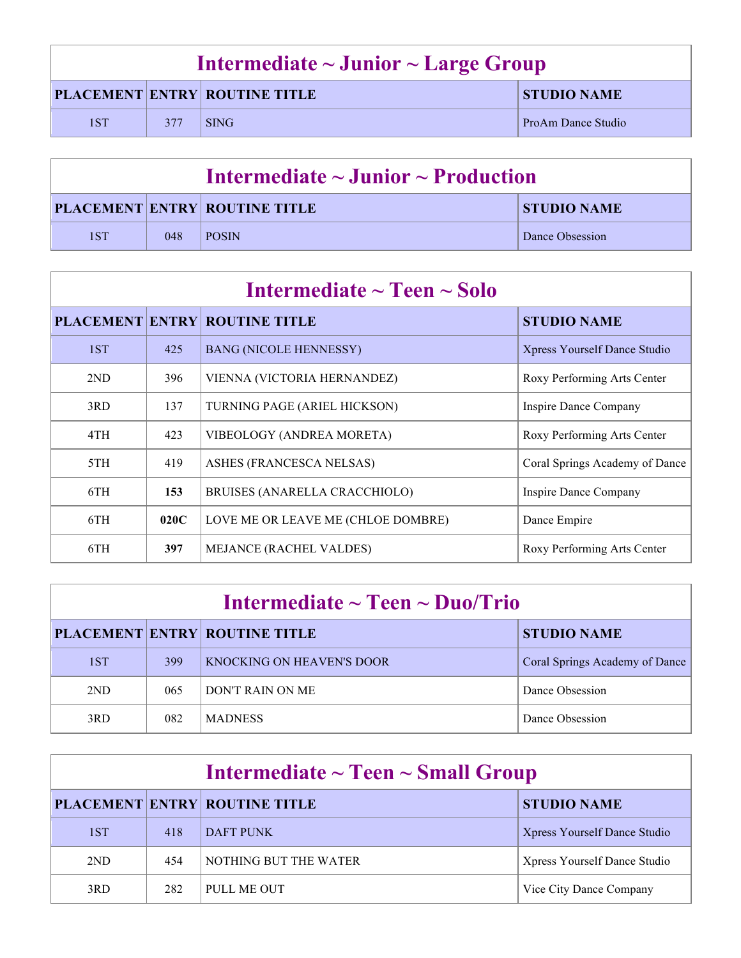| Intermediate $\sim$ Junior $\sim$ Large Group |     |                                      |                    |
|-----------------------------------------------|-----|--------------------------------------|--------------------|
|                                               |     | <b>PLACEMENT ENTRY ROUTINE TITLE</b> | <b>STUDIO NAME</b> |
| 1ST                                           | 377 | <b>SING</b>                          | ProAm Dance Studio |

| Intermediate $\sim$ Junior $\sim$ Production |     |                                      |                    |
|----------------------------------------------|-----|--------------------------------------|--------------------|
|                                              |     | <b>PLACEMENT ENTRY ROUTINE TITLE</b> | <b>STUDIO NAME</b> |
| 1ST                                          | 048 | <b>POSIN</b>                         | Dance Obsession    |

| Intermediate $\sim$ Teen $\sim$ Solo |      |                                      |                                     |
|--------------------------------------|------|--------------------------------------|-------------------------------------|
|                                      |      | <b>PLACEMENT ENTRY ROUTINE TITLE</b> | <b>STUDIO NAME</b>                  |
| 1ST                                  | 425  | <b>BANG (NICOLE HENNESSY)</b>        | <b>Xpress Yourself Dance Studio</b> |
| 2ND                                  | 396  | VIENNA (VICTORIA HERNANDEZ)          | Roxy Performing Arts Center         |
| 3RD                                  | 137  | TURNING PAGE (ARIEL HICKSON)         | <b>Inspire Dance Company</b>        |
| 4TH                                  | 423  | VIBEOLOGY (ANDREA MORETA)            | Roxy Performing Arts Center         |
| 5TH                                  | 419  | ASHES (FRANCESCA NELSAS)             | Coral Springs Academy of Dance      |
| 6TH                                  | 153  | BRUISES (ANARELLA CRACCHIOLO)        | <b>Inspire Dance Company</b>        |
| 6TH                                  | 020C | LOVE ME OR LEAVE ME (CHLOE DOMBRE)   | Dance Empire                        |
| 6TH                                  | 397  | <b>MEJANCE (RACHEL VALDES)</b>       | Roxy Performing Arts Center         |

| Intermediate $\sim$ Teen $\sim$ Duo/Trio |     |                                      |                                |
|------------------------------------------|-----|--------------------------------------|--------------------------------|
|                                          |     | <b>PLACEMENT ENTRY ROUTINE TITLE</b> | <b>STUDIO NAME</b>             |
| 1ST                                      | 399 | KNOCKING ON HEAVEN'S DOOR            | Coral Springs Academy of Dance |
| 2ND                                      | 065 | DON'T RAIN ON ME                     | Dance Obsession                |
| 3RD                                      | 082 | <b>MADNESS</b>                       | Dance Obsession                |

| Intermediate $\sim$ Teen $\sim$ Small Group |     |                                      |                              |
|---------------------------------------------|-----|--------------------------------------|------------------------------|
|                                             |     | <b>PLACEMENT ENTRY ROUTINE TITLE</b> | <b>STUDIO NAME</b>           |
| 1ST                                         | 418 | DAFT PUNK                            | Xpress Yourself Dance Studio |
| 2ND                                         | 454 | NOTHING BUT THE WATER                | Xpress Yourself Dance Studio |
| 3RD                                         | 282 | PULL ME OUT                          | Vice City Dance Company      |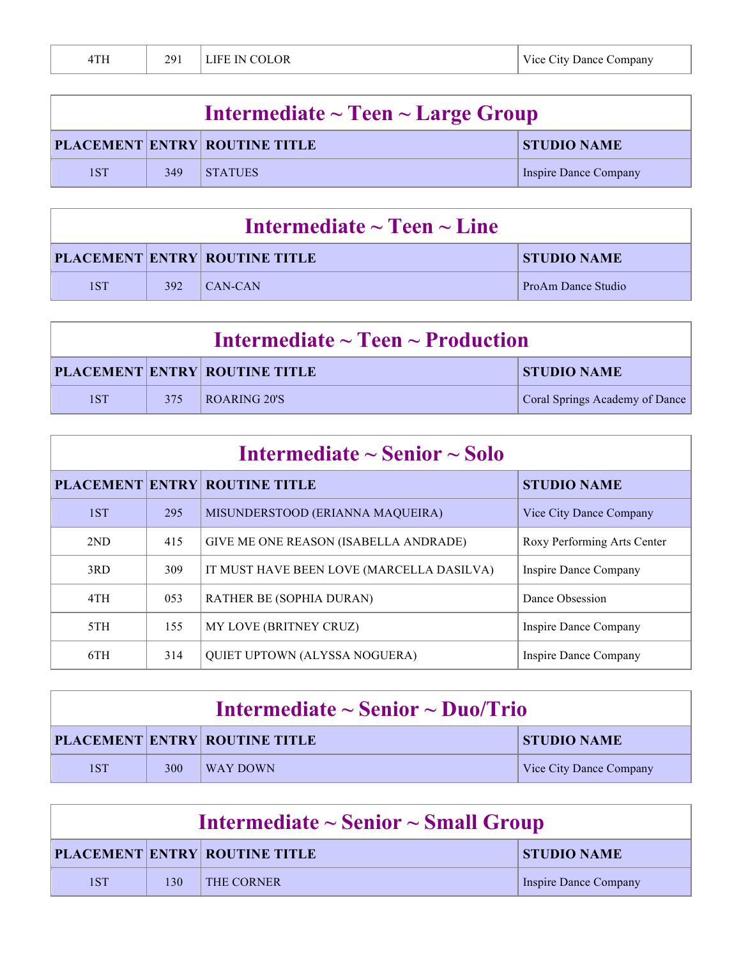| 4TH | 291 | ' LIFE IN COLOR | Vice City Dance Company |
|-----|-----|-----------------|-------------------------|
|-----|-----|-----------------|-------------------------|

| Intermediate $\sim$ Teen $\sim$ Large Group |     |                                      |                       |
|---------------------------------------------|-----|--------------------------------------|-----------------------|
|                                             |     | <b>PLACEMENT ENTRY ROUTINE TITLE</b> | <b>STUDIO NAME</b>    |
| 1ST                                         | 349 | <b>STATUES</b>                       | Inspire Dance Company |

| Intermediate $\sim$ Teen $\sim$ Line |     |                                      |                    |
|--------------------------------------|-----|--------------------------------------|--------------------|
|                                      |     | <b>PLACEMENT ENTRY ROUTINE TITLE</b> | <b>STUDIO NAME</b> |
| 1ST                                  | 392 | $ $ CAN-CAN                          | ProAm Dance Studio |

| Intermediate $\sim$ Teen $\sim$ Production |     |                                      |                                |
|--------------------------------------------|-----|--------------------------------------|--------------------------------|
|                                            |     | <b>PLACEMENT ENTRY ROUTINE TITLE</b> | <b>STUDIO NAME</b>             |
| 1ST                                        | 375 | ROARING 20'S                         | Coral Springs Academy of Dance |

| Intermediate $\sim$ Senior $\sim$ Solo |     |                                           |                              |
|----------------------------------------|-----|-------------------------------------------|------------------------------|
|                                        |     | <b>PLACEMENT ENTRY ROUTINE TITLE</b>      | <b>STUDIO NAME</b>           |
| 1ST                                    | 295 | MISUNDERSTOOD (ERIANNA MAQUEIRA)          | Vice City Dance Company      |
| 2ND                                    | 415 | GIVE ME ONE REASON (ISABELLA ANDRADE)     | Roxy Performing Arts Center  |
| 3RD.                                   | 309 | IT MUST HAVE BEEN LOVE (MARCELLA DASILVA) | Inspire Dance Company        |
| 4TH                                    | 053 | RATHER BE (SOPHIA DURAN)                  | Dance Obsession              |
| 5TH                                    | 155 | MY LOVE (BRITNEY CRUZ)                    | Inspire Dance Company        |
| 6TH                                    | 314 | QUIET UPTOWN (ALYSSA NOGUERA)             | <b>Inspire Dance Company</b> |

| Intermediate $\sim$ Senior $\sim$ Duo/Trio |     |                                      |                         |
|--------------------------------------------|-----|--------------------------------------|-------------------------|
|                                            |     | <b>PLACEMENT ENTRY ROUTINE TITLE</b> | <b>STUDIO NAME</b>      |
| 1ST                                        | 300 | WAY DOWN                             | Vice City Dance Company |

| Intermediate $\sim$ Senior $\sim$ Small Group |     |                                      |                       |
|-----------------------------------------------|-----|--------------------------------------|-----------------------|
|                                               |     | <b>PLACEMENT ENTRY ROUTINE TITLE</b> | <b>STUDIO NAME</b>    |
| 1ST                                           | 130 | <b>THE CORNER</b>                    | Inspire Dance Company |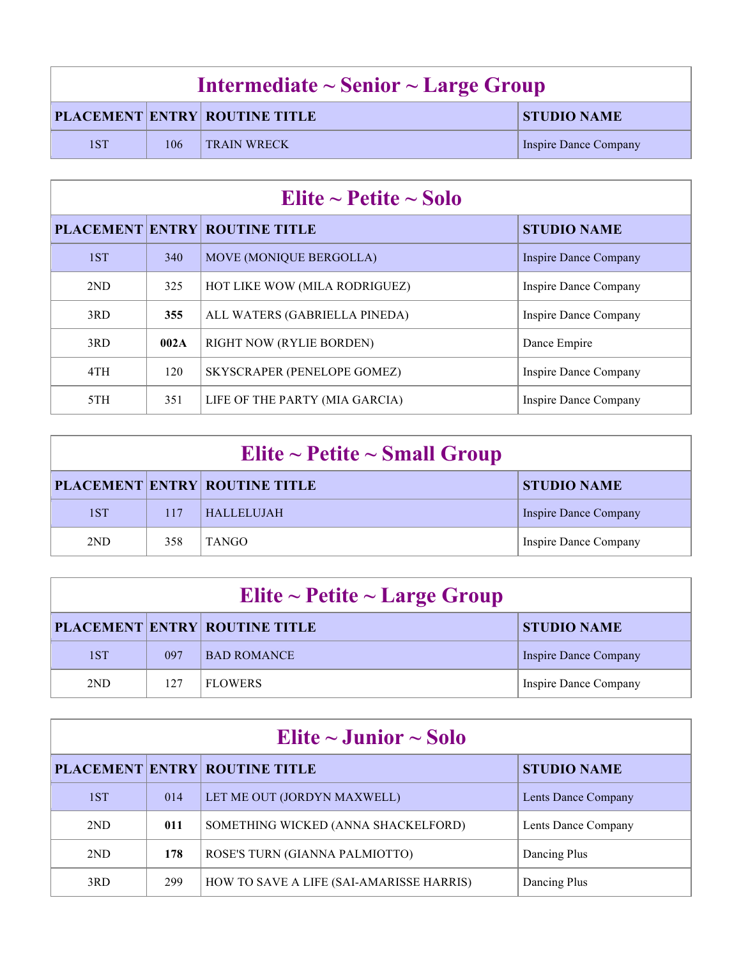| Intermediate $\sim$ Senior $\sim$ Large Group |     |                                      |                       |
|-----------------------------------------------|-----|--------------------------------------|-----------------------|
|                                               |     | <b>PLACEMENT ENTRY ROUTINE TITLE</b> | <b>STUDIO NAME</b>    |
| 1ST                                           | 106 | <b>TRAIN WRECK</b>                   | Inspire Dance Company |

| Elite ~ Petite ~ Solo |      |                                      |                       |
|-----------------------|------|--------------------------------------|-----------------------|
|                       |      | <b>PLACEMENT ENTRY ROUTINE TITLE</b> | <b>STUDIO NAME</b>    |
| 1ST                   | 340  | MOVE (MONIQUE BERGOLLA)              | Inspire Dance Company |
| 2ND                   | 325  | HOT LIKE WOW (MILA RODRIGUEZ)        | Inspire Dance Company |
| 3RD                   | 355  | ALL WATERS (GABRIELLA PINEDA)        | Inspire Dance Company |
| 3RD                   | 002A | RIGHT NOW (RYLIE BORDEN)             | Dance Empire          |
| 4TH                   | 120  | SKYSCRAPER (PENELOPE GOMEZ)          | Inspire Dance Company |
| 5TH                   | 351  | LIFE OF THE PARTY (MIA GARCIA)       | Inspire Dance Company |

| Elite ~ Petite ~ Small Group |     |                                      |                       |  |
|------------------------------|-----|--------------------------------------|-----------------------|--|
|                              |     | <b>PLACEMENT ENTRY ROUTINE TITLE</b> | <b>STUDIO NAME</b>    |  |
| 1ST                          | 117 | <b>HALLELUJAH</b>                    | Inspire Dance Company |  |
| 2ND                          | 358 | <b>TANGO</b>                         | Inspire Dance Company |  |

| Elite ~ Petite ~ Large Group |     |                                      |                       |  |
|------------------------------|-----|--------------------------------------|-----------------------|--|
|                              |     | <b>PLACEMENT ENTRY ROUTINE TITLE</b> | <b>STUDIO NAME</b>    |  |
| 1ST                          | 097 | <b>BAD ROMANCE</b>                   | Inspire Dance Company |  |
| 2ND                          | 127 | <b>FLOWERS</b>                       | Inspire Dance Company |  |

| Elite $\sim$ Junior $\sim$ Solo |     |                                          |                     |  |
|---------------------------------|-----|------------------------------------------|---------------------|--|
|                                 |     | <b>PLACEMENT ENTRY ROUTINE TITLE</b>     | <b>STUDIO NAME</b>  |  |
| 1ST                             | 014 | LET ME OUT (JORDYN MAXWELL)              | Lents Dance Company |  |
| 2ND                             | 011 | SOMETHING WICKED (ANNA SHACKELFORD)      | Lents Dance Company |  |
| 2ND                             | 178 | ROSE'S TURN (GIANNA PALMIOTTO)           | Dancing Plus        |  |
| 3RD                             | 299 | HOW TO SAVE A LIFE (SAI-AMARISSE HARRIS) | Dancing Plus        |  |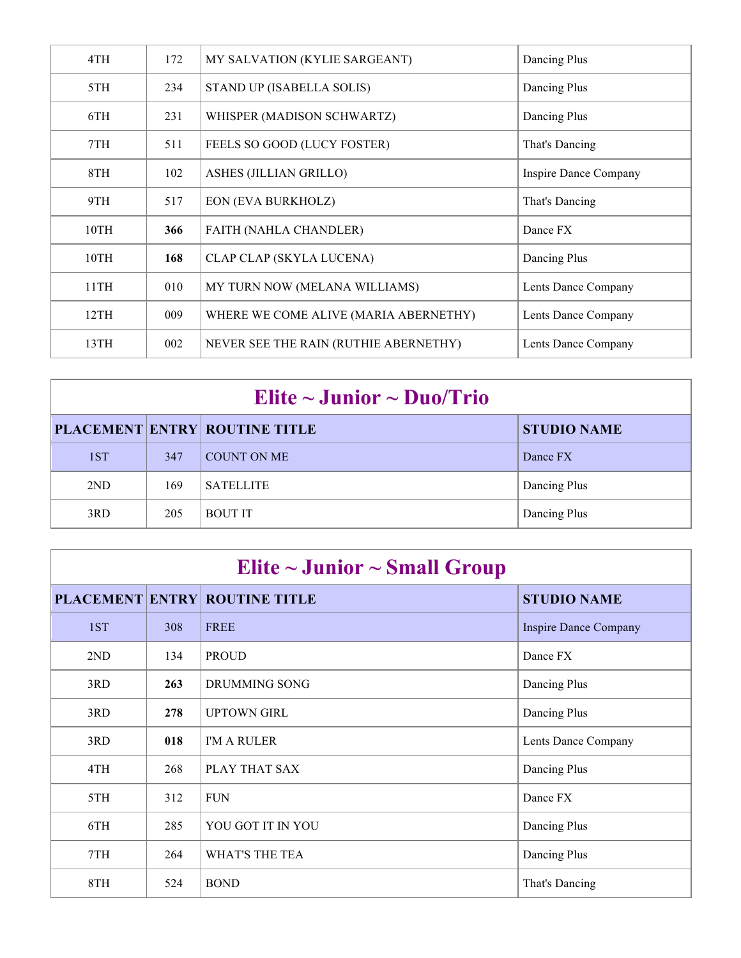| 4TH  | 172 | MY SALVATION (KYLIE SARGEANT)         | Dancing Plus          |
|------|-----|---------------------------------------|-----------------------|
| 5TH  | 234 | STAND UP (ISABELLA SOLIS)             | Dancing Plus          |
| 6TH  | 231 | WHISPER (MADISON SCHWARTZ)            | Dancing Plus          |
| 7TH  | 511 | FEELS SO GOOD (LUCY FOSTER)           | That's Dancing        |
| 8TH  | 102 | ASHES (JILLIAN GRILLO)                | Inspire Dance Company |
| 9TH  | 517 | <b>EON (EVA BURKHOLZ)</b>             | That's Dancing        |
| 10TH | 366 | <b>FAITH (NAHLA CHANDLER)</b>         | Dance FX              |
| 10TH | 168 | CLAP CLAP (SKYLA LUCENA)              | Dancing Plus          |
| 11TH | 010 | MY TURN NOW (MELANA WILLIAMS)         | Lents Dance Company   |
| 12TH | 009 | WHERE WE COME ALIVE (MARIA ABERNETHY) | Lents Dance Company   |
| 13TH | 002 | NEVER SEE THE RAIN (RUTHIE ABERNETHY) | Lents Dance Company   |

| Elite $\sim$ Junior $\sim$ Duo/Trio |     |                                      |                    |  |
|-------------------------------------|-----|--------------------------------------|--------------------|--|
|                                     |     | <b>PLACEMENT ENTRY ROUTINE TITLE</b> | <b>STUDIO NAME</b> |  |
| 1ST                                 | 347 | COUNT ON ME                          | Dance FX           |  |
| 2ND                                 | 169 | <b>SATELLITE</b>                     | Dancing Plus       |  |
| 3RD                                 | 205 | <b>BOUT IT</b>                       | Dancing Plus       |  |

| Elite $\sim$ Junior $\sim$ Small Group |     |                                      |                              |  |
|----------------------------------------|-----|--------------------------------------|------------------------------|--|
|                                        |     | <b>PLACEMENT ENTRY ROUTINE TITLE</b> | <b>STUDIO NAME</b>           |  |
| 1ST                                    | 308 | <b>FREE</b>                          | <b>Inspire Dance Company</b> |  |
| 2ND                                    | 134 | <b>PROUD</b>                         | Dance FX                     |  |
| 3RD                                    | 263 | DRUMMING SONG                        | Dancing Plus                 |  |
| 3RD                                    | 278 | <b>UPTOWN GIRL</b>                   | Dancing Plus                 |  |
| 3RD                                    | 018 | I'M A RULER                          | Lents Dance Company          |  |
| 4TH                                    | 268 | PLAY THAT SAX                        | Dancing Plus                 |  |
| 5TH                                    | 312 | <b>FUN</b>                           | Dance FX                     |  |
| 6TH                                    | 285 | YOU GOT IT IN YOU                    | Dancing Plus                 |  |
| 7TH                                    | 264 | WHAT'S THE TEA                       | Dancing Plus                 |  |
| 8TH                                    | 524 | <b>BOND</b>                          | That's Dancing               |  |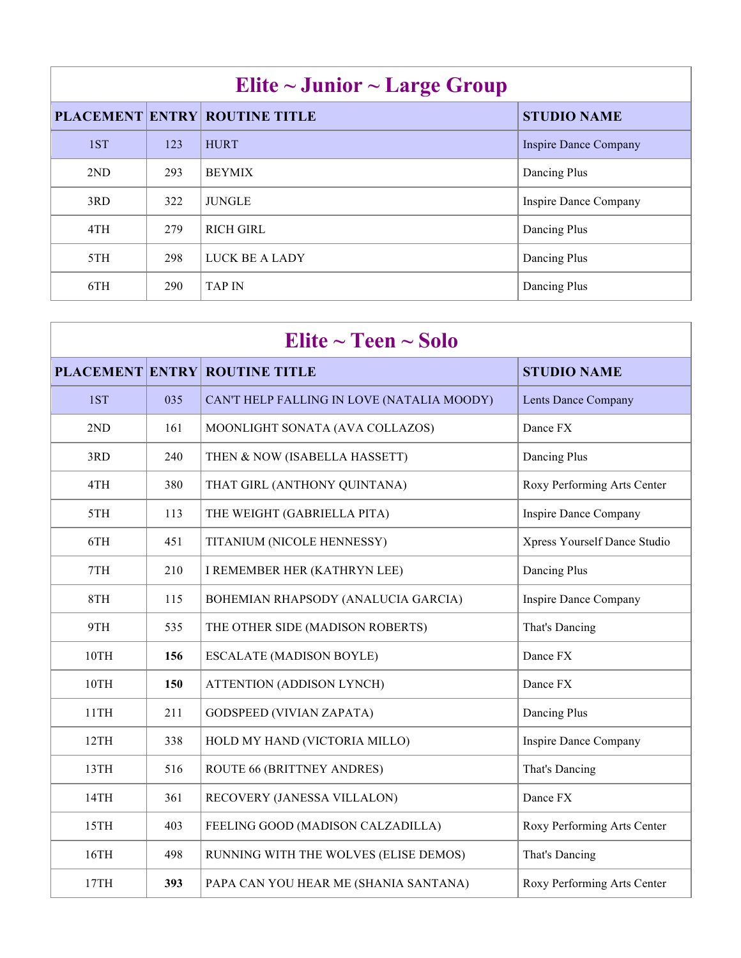| Elite $\sim$ Junior $\sim$ Large Group |     |                                      |                              |  |
|----------------------------------------|-----|--------------------------------------|------------------------------|--|
|                                        |     | <b>PLACEMENT ENTRY ROUTINE TITLE</b> | <b>STUDIO NAME</b>           |  |
| 1ST                                    | 123 | <b>HURT</b>                          | <b>Inspire Dance Company</b> |  |
| 2ND                                    | 293 | <b>BEYMIX</b>                        | Dancing Plus                 |  |
| 3RD                                    | 322 | <b>JUNGLE</b>                        | Inspire Dance Company        |  |
| 4TH                                    | 279 | <b>RICH GIRL</b>                     | Dancing Plus                 |  |
| 5TH                                    | 298 | LUCK BE A LADY                       | Dancing Plus                 |  |
| 6TH                                    | 290 | <b>TAP IN</b>                        | Dancing Plus                 |  |

| Elite $\sim$ Teen $\sim$ Solo |     |                                            |                              |
|-------------------------------|-----|--------------------------------------------|------------------------------|
|                               |     | <b>PLACEMENT ENTRY ROUTINE TITLE</b>       | <b>STUDIO NAME</b>           |
| 1ST                           | 035 | CAN'T HELP FALLING IN LOVE (NATALIA MOODY) | <b>Lents Dance Company</b>   |
| 2ND                           | 161 | MOONLIGHT SONATA (AVA COLLAZOS)            | Dance FX                     |
| 3RD                           | 240 | THEN & NOW (ISABELLA HASSETT)              | Dancing Plus                 |
| 4TH                           | 380 | THAT GIRL (ANTHONY QUINTANA)               | Roxy Performing Arts Center  |
| 5TH                           | 113 | THE WEIGHT (GABRIELLA PITA)                | <b>Inspire Dance Company</b> |
| 6TH                           | 451 | TITANIUM (NICOLE HENNESSY)                 | Xpress Yourself Dance Studio |
| 7TH                           | 210 | I REMEMBER HER (KATHRYN LEE)               | Dancing Plus                 |
| 8TH                           | 115 | BOHEMIAN RHAPSODY (ANALUCIA GARCIA)        | <b>Inspire Dance Company</b> |
| 9TH                           | 535 | THE OTHER SIDE (MADISON ROBERTS)           | That's Dancing               |
| 10TH                          | 156 | <b>ESCALATE (MADISON BOYLE)</b>            | Dance FX                     |
| 10TH                          | 150 | ATTENTION (ADDISON LYNCH)                  | Dance FX                     |
| 11TH                          | 211 | <b>GODSPEED (VIVIAN ZAPATA)</b>            | Dancing Plus                 |
| 12TH                          | 338 | HOLD MY HAND (VICTORIA MILLO)              | <b>Inspire Dance Company</b> |
| 13TH                          | 516 | ROUTE 66 (BRITTNEY ANDRES)                 | That's Dancing               |
| 14TH                          | 361 | RECOVERY (JANESSA VILLALON)                | Dance FX                     |
| 15TH                          | 403 | FEELING GOOD (MADISON CALZADILLA)          | Roxy Performing Arts Center  |
| 16TH                          | 498 | RUNNING WITH THE WOLVES (ELISE DEMOS)      | That's Dancing               |
| 17TH                          | 393 | PAPA CAN YOU HEAR ME (SHANIA SANTANA)      | Roxy Performing Arts Center  |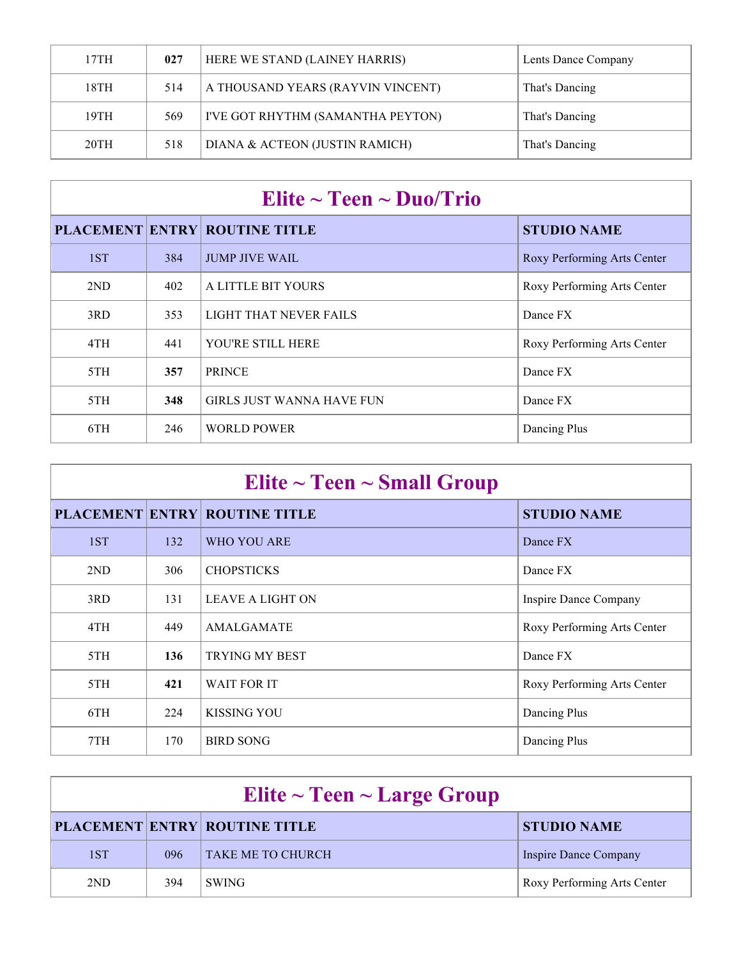| 17TH | 027 | HERE WE STAND (LAINEY HARRIS)     | Lents Dance Company |
|------|-----|-----------------------------------|---------------------|
| 18TH | 514 | A THOUSAND YEARS (RAYVIN VINCENT) | That's Dancing      |
| 19TH | 569 | I'VE GOT RHYTHM (SAMANTHA PEYTON) | That's Dancing      |
| 20TH | 518 | DIANA & ACTEON (JUSTIN RAMICH)    | That's Dancing      |

| Elite $\sim$ Teen $\sim$ Duo/Trio |     |                                      |                             |
|-----------------------------------|-----|--------------------------------------|-----------------------------|
|                                   |     | <b>PLACEMENT ENTRY ROUTINE TITLE</b> | <b>STUDIO NAME</b>          |
| 1ST                               | 384 | <b>JUMP JIVE WAIL</b>                | Roxy Performing Arts Center |
| 2ND                               | 402 | A LITTLE BIT YOURS                   | Roxy Performing Arts Center |
| 3RD                               | 353 | LIGHT THAT NEVER FAILS               | Dance FX                    |
| 4TH                               | 441 | YOU'RE STILL HERE                    | Roxy Performing Arts Center |
| 5TH                               | 357 | <b>PRINCE</b>                        | Dance FX                    |
| 5TH                               | 348 | <b>GIRLS JUST WANNA HAVE FUN</b>     | Dance FX                    |
| 6TH                               | 246 | WORLD POWER                          | Dancing Plus                |

| Elite $\sim$ Teen $\sim$ Small Group |     |                                      |                             |  |
|--------------------------------------|-----|--------------------------------------|-----------------------------|--|
|                                      |     | <b>PLACEMENT ENTRY ROUTINE TITLE</b> | <b>STUDIO NAME</b>          |  |
| 1ST                                  | 132 | WHO YOU ARE                          | Dance FX                    |  |
| 2ND                                  | 306 | <b>CHOPSTICKS</b>                    | Dance FX                    |  |
| 3RD                                  | 131 | <b>LEAVE A LIGHT ON</b>              | Inspire Dance Company       |  |
| 4TH                                  | 449 | <b>AMALGAMATE</b>                    | Roxy Performing Arts Center |  |
| 5TH                                  | 136 | <b>TRYING MY BEST</b>                | Dance FX                    |  |
| 5TH                                  | 421 | <b>WAIT FOR IT</b>                   | Roxy Performing Arts Center |  |
| 6TH                                  | 224 | <b>KISSING YOU</b>                   | Dancing Plus                |  |
| 7TH                                  | 170 | <b>BIRD SONG</b>                     | Dancing Plus                |  |

| Elite $\sim$ Teen $\sim$ Large Group |     |                                      |                             |  |
|--------------------------------------|-----|--------------------------------------|-----------------------------|--|
|                                      |     | <b>PLACEMENT ENTRY ROUTINE TITLE</b> | <b>STUDIO NAME</b>          |  |
| 1ST                                  | 096 | <b>TAKE ME TO CHURCH</b>             | Inspire Dance Company       |  |
| 2 <sub>ND</sub>                      | 394 | <b>SWING</b>                         | Roxy Performing Arts Center |  |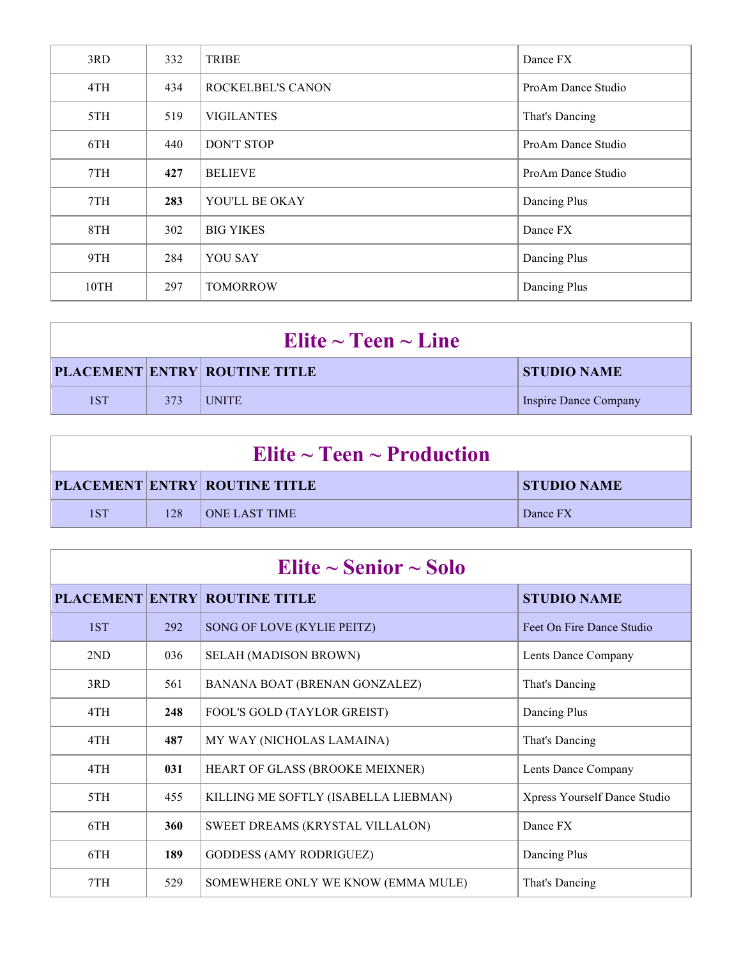| 3RD  | 332 | TRIBE             | Dance FX           |
|------|-----|-------------------|--------------------|
| 4TH  | 434 | ROCKELBEL'S CANON | ProAm Dance Studio |
| 5TH  | 519 | <b>VIGILANTES</b> | That's Dancing     |
| 6TH  | 440 | <b>DON'T STOP</b> | ProAm Dance Studio |
| 7TH  | 427 | <b>BELIEVE</b>    | ProAm Dance Studio |
| 7TH  | 283 | YOU'LL BE OKAY    | Dancing Plus       |
| 8TH  | 302 | <b>BIG YIKES</b>  | Dance FX           |
| 9TH  | 284 | <b>YOU SAY</b>    | Dancing Plus       |
| 10TH | 297 | <b>TOMORROW</b>   | Dancing Plus       |

| Elite $\sim$ Teen $\sim$ Line |     |                                      |                       |
|-------------------------------|-----|--------------------------------------|-----------------------|
|                               |     | <b>PLACEMENT ENTRY ROUTINE TITLE</b> | <b>STUDIO NAME</b>    |
| 1ST                           | 373 | <b>LUNITE</b>                        | Inspire Dance Company |

| Elite $\sim$ Teen $\sim$ Production |     |                                      |                    |
|-------------------------------------|-----|--------------------------------------|--------------------|
|                                     |     | <b>PLACEMENT ENTRY ROUTINE TITLE</b> | <b>STUDIO NAME</b> |
| 1ST                                 | 128 | <b>ONE LAST TIME</b>                 | Dance FX           |

| Elite $\sim$ Senior $\sim$ Solo |     |                                      |                              |  |
|---------------------------------|-----|--------------------------------------|------------------------------|--|
|                                 |     | <b>PLACEMENT ENTRY ROUTINE TITLE</b> | <b>STUDIO NAME</b>           |  |
| 1ST                             | 292 | SONG OF LOVE (KYLIE PEITZ)           | Feet On Fire Dance Studio    |  |
| 2ND                             | 036 | SELAH (MADISON BROWN)                | Lents Dance Company          |  |
| 3RD                             | 561 | BANANA BOAT (BRENAN GONZALEZ)        | That's Dancing               |  |
| 4TH                             | 248 | FOOL'S GOLD (TAYLOR GREIST)          | Dancing Plus                 |  |
| 4TH                             | 487 | MY WAY (NICHOLAS LAMAINA)            | That's Dancing               |  |
| 4TH                             | 031 | HEART OF GLASS (BROOKE MEIXNER)      | Lents Dance Company          |  |
| 5TH                             | 455 | KILLING ME SOFTLY (ISABELLA LIEBMAN) | Xpress Yourself Dance Studio |  |
| 6TH                             | 360 | SWEET DREAMS (KRYSTAL VILLALON)      | Dance FX                     |  |
| 6TH                             | 189 | <b>GODDESS (AMY RODRIGUEZ)</b>       | Dancing Plus                 |  |
| 7TH                             | 529 | SOMEWHERE ONLY WE KNOW (EMMA MULE)   | That's Dancing               |  |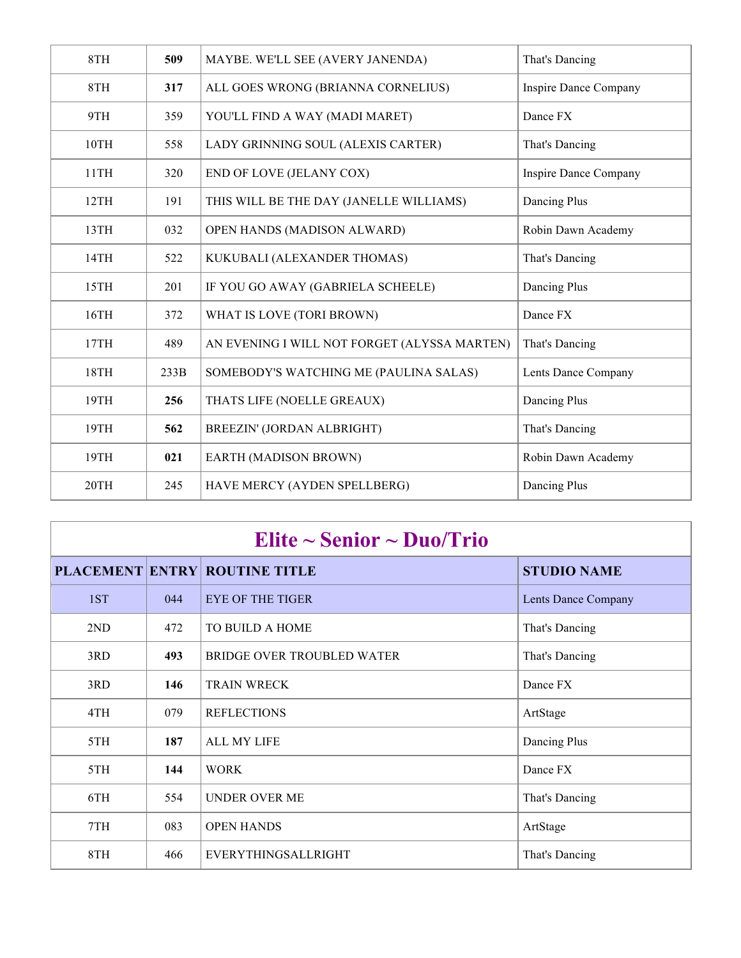| 8TH  | 509  | MAYBE. WE'LL SEE (AVERY JANENDA)             | That's Dancing               |
|------|------|----------------------------------------------|------------------------------|
| 8TH  | 317  | ALL GOES WRONG (BRIANNA CORNELIUS)           | <b>Inspire Dance Company</b> |
| 9TH  | 359  | YOU'LL FIND A WAY (MADI MARET)               | Dance FX                     |
| 10TH | 558  | LADY GRINNING SOUL (ALEXIS CARTER)           | That's Dancing               |
| 11TH | 320  | END OF LOVE (JELANY COX)                     | Inspire Dance Company        |
| 12TH | 191  | THIS WILL BE THE DAY (JANELLE WILLIAMS)      | Dancing Plus                 |
| 13TH | 032  | OPEN HANDS (MADISON ALWARD)                  | Robin Dawn Academy           |
| 14TH | 522  | KUKUBALI (ALEXANDER THOMAS)                  | That's Dancing               |
| 15TH | 201  | IF YOU GO AWAY (GABRIELA SCHEELE)            | Dancing Plus                 |
| 16TH | 372  | WHAT IS LOVE (TORI BROWN)                    | Dance FX                     |
| 17TH | 489  | AN EVENING I WILL NOT FORGET (ALYSSA MARTEN) | That's Dancing               |
| 18TH | 233B | SOMEBODY'S WATCHING ME (PAULINA SALAS)       | Lents Dance Company          |
| 19TH | 256  | THATS LIFE (NOELLE GREAUX)                   | Dancing Plus                 |
| 19TH | 562  | BREEZIN' (JORDAN ALBRIGHT)                   | That's Dancing               |
| 19TH | 021  | EARTH (MADISON BROWN)                        | Robin Dawn Academy           |
| 20TH | 245  | HAVE MERCY (AYDEN SPELLBERG)                 | Dancing Plus                 |

| Elite $\sim$ Senior $\sim$ Duo/Trio |     |                                      |                            |  |
|-------------------------------------|-----|--------------------------------------|----------------------------|--|
|                                     |     | <b>PLACEMENT ENTRY ROUTINE TITLE</b> | <b>STUDIO NAME</b>         |  |
| 1ST                                 | 044 | <b>EYE OF THE TIGER</b>              | <b>Lents Dance Company</b> |  |
| 2ND                                 | 472 | TO BUILD A HOME                      | That's Dancing             |  |
| 3RD                                 | 493 | <b>BRIDGE OVER TROUBLED WATER</b>    | That's Dancing             |  |
| 3RD                                 | 146 | <b>TRAIN WRECK</b>                   | Dance FX                   |  |
| 4TH                                 | 079 | <b>REFLECTIONS</b>                   | ArtStage                   |  |
| 5TH                                 | 187 | <b>ALL MY LIFE</b>                   | Dancing Plus               |  |
| 5TH                                 | 144 | <b>WORK</b>                          | Dance FX                   |  |
| 6TH                                 | 554 | <b>UNDER OVER ME</b>                 | That's Dancing             |  |
| 7TH                                 | 083 | <b>OPEN HANDS</b>                    | ArtStage                   |  |
| 8TH                                 | 466 | EVERYTHINGSALLRIGHT                  | That's Dancing             |  |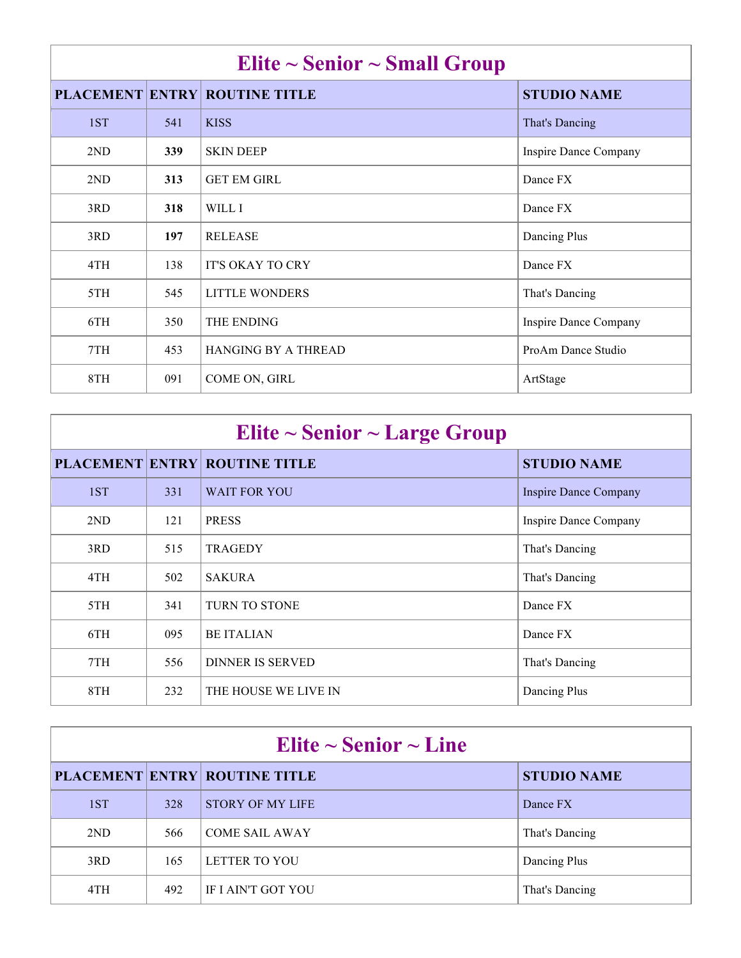| Elite $\sim$ Senior $\sim$ Small Group |     |                                      |                       |  |
|----------------------------------------|-----|--------------------------------------|-----------------------|--|
|                                        |     | <b>PLACEMENT ENTRY ROUTINE TITLE</b> | <b>STUDIO NAME</b>    |  |
| 1ST                                    | 541 | <b>KISS</b>                          | That's Dancing        |  |
| 2 <sub>ND</sub>                        | 339 | <b>SKIN DEEP</b>                     | Inspire Dance Company |  |
| 2ND                                    | 313 | <b>GET EM GIRL</b>                   | Dance FX              |  |
| 3RD                                    | 318 | WILL I                               | Dance FX              |  |
| 3RD                                    | 197 | <b>RELEASE</b>                       | Dancing Plus          |  |
| 4TH                                    | 138 | <b>IT'S OKAY TO CRY</b>              | Dance FX              |  |
| 5TH                                    | 545 | <b>LITTLE WONDERS</b>                | That's Dancing        |  |
| 6TH                                    | 350 | THE ENDING                           | Inspire Dance Company |  |
| 7TH                                    | 453 | <b>HANGING BY A THREAD</b>           | ProAm Dance Studio    |  |
| 8TH                                    | 091 | COME ON, GIRL                        | ArtStage              |  |

| Elite $\sim$ Senior $\sim$ Large Group |     |                                      |                              |  |
|----------------------------------------|-----|--------------------------------------|------------------------------|--|
|                                        |     | <b>PLACEMENT ENTRY ROUTINE TITLE</b> | <b>STUDIO NAME</b>           |  |
| 1ST                                    | 331 | <b>WAIT FOR YOU</b>                  | <b>Inspire Dance Company</b> |  |
| 2ND                                    | 121 | <b>PRESS</b>                         | Inspire Dance Company        |  |
| 3RD                                    | 515 | <b>TRAGEDY</b>                       | That's Dancing               |  |
| 4TH                                    | 502 | <b>SAKURA</b>                        | That's Dancing               |  |
| 5TH                                    | 341 | <b>TURN TO STONE</b>                 | Dance FX                     |  |
| 6TH                                    | 095 | <b>BE ITALIAN</b>                    | Dance FX                     |  |
| 7TH                                    | 556 | <b>DINNER IS SERVED</b>              | That's Dancing               |  |
| 8TH                                    | 232 | THE HOUSE WE LIVE IN                 | Dancing Plus                 |  |

| Elite $\sim$ Senior $\sim$ Line |     |                                      |                    |  |
|---------------------------------|-----|--------------------------------------|--------------------|--|
|                                 |     | <b>PLACEMENT ENTRY ROUTINE TITLE</b> | <b>STUDIO NAME</b> |  |
| 1ST                             | 328 | <b>STORY OF MY LIFE</b>              | Dance FX           |  |
| 2ND                             | 566 | <b>COME SAIL AWAY</b>                | That's Dancing     |  |
| 3RD                             | 165 | LETTER TO YOU                        | Dancing Plus       |  |
| 4TH                             | 492 | IF LAIN'T GOT YOU                    | That's Dancing     |  |